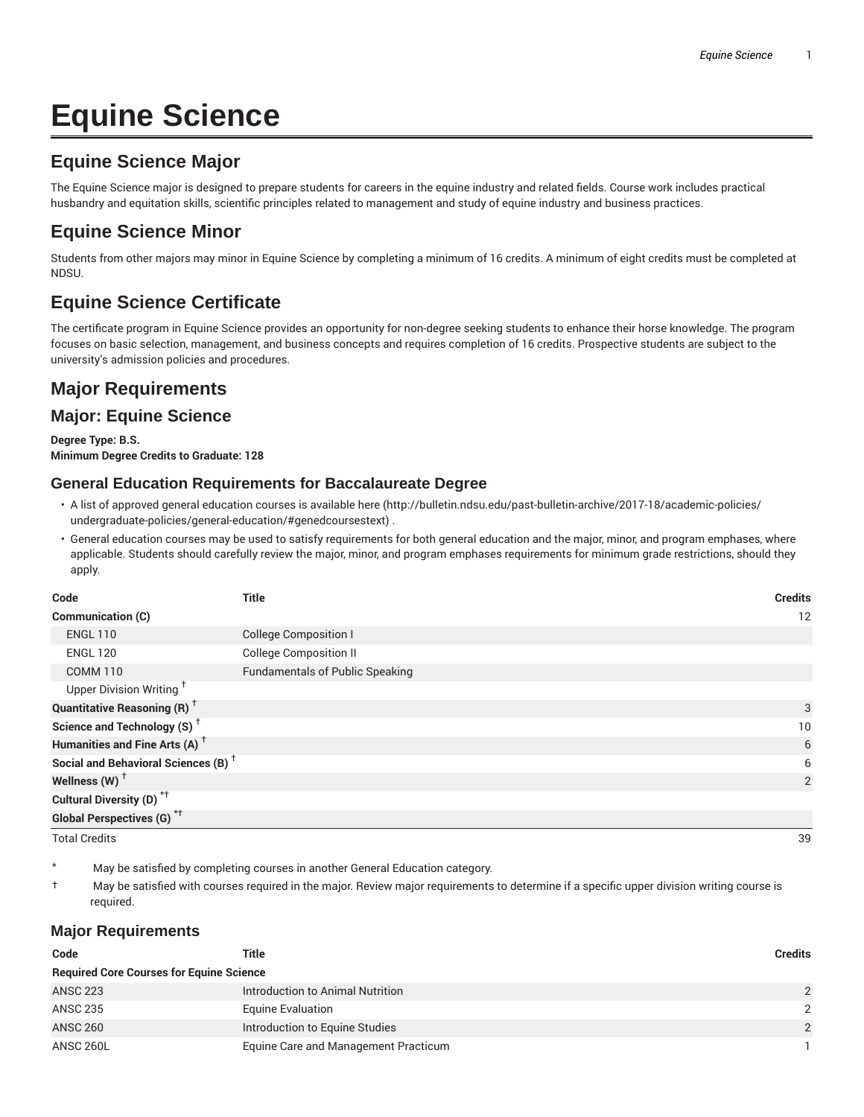# **Equine Science**

# **Equine Science Major**

The Equine Science major is designed to prepare students for careers in the equine industry and related fields. Course work includes practical husbandry and equitation skills, scientific principles related to management and study of equine industry and business practices.

# **Equine Science Minor**

Students from other majors may minor in Equine Science by completing a minimum of 16 credits. A minimum of eight credits must be completed at NDSU.

# **Equine Science Certificate**

The certificate program in Equine Science provides an opportunity for non-degree seeking students to enhance their horse knowledge. The program focuses on basic selection, management, and business concepts and requires completion of 16 credits. Prospective students are subject to the university's admission policies and procedures.

# **Major Requirements**

## **Major: Equine Science**

**Degree Type: B.S. Minimum Degree Credits to Graduate: 128**

### **General Education Requirements for Baccalaureate Degree**

- A list of approved general education courses is available here (http://bulletin.ndsu.edu/past-bulletin-archive/2017-18/academic-policies/ undergraduate-policies/general-education/#genedcoursestext) .
- General education courses may be used to satisfy requirements for both general education and the major, minor, and program emphases, where applicable. Students should carefully review the major, minor, and program emphases requirements for minimum grade restrictions, should they apply.

| Code                                            | <b>Title</b>                           | <b>Credits</b> |
|-------------------------------------------------|----------------------------------------|----------------|
| Communication (C)                               |                                        | 12             |
| <b>ENGL 110</b>                                 | <b>College Composition I</b>           |                |
| <b>ENGL 120</b>                                 | <b>College Composition II</b>          |                |
| <b>COMM 110</b>                                 | <b>Fundamentals of Public Speaking</b> |                |
| Upper Division Writing <sup>+</sup>             |                                        |                |
| <b>Quantitative Reasoning (R)</b> <sup>†</sup>  |                                        | 3              |
| Science and Technology (S) <sup>+</sup>         |                                        | 10             |
| Humanities and Fine Arts (A) <sup>+</sup>       |                                        | 6              |
| Social and Behavioral Sciences (B) <sup>+</sup> |                                        | 6              |
| Wellness (W) $^{\dagger}$                       |                                        | 2              |
| Cultural Diversity (D) <sup>*†</sup>            |                                        |                |
| Global Perspectives (G) <sup>*†</sup>           |                                        |                |

Total Credits 39

May be satisfied by completing courses in another General Education category.

† May be satisfied with courses required in the major. Review major requirements to determine if a specific upper division writing course is required.

#### **Major Requirements**

| Code                                            | Title                                | <b>Credits</b> |  |
|-------------------------------------------------|--------------------------------------|----------------|--|
| <b>Required Core Courses for Equine Science</b> |                                      |                |  |
| <b>ANSC 223</b>                                 | Introduction to Animal Nutrition     | $\mathcal{P}$  |  |
| <b>ANSC 235</b>                                 | <b>Equine Evaluation</b>             | $\mathcal{P}$  |  |
| <b>ANSC 260</b>                                 | Introduction to Equine Studies       | $\mathfrak{p}$ |  |
| ANSC 260L                                       | Equine Care and Management Practicum |                |  |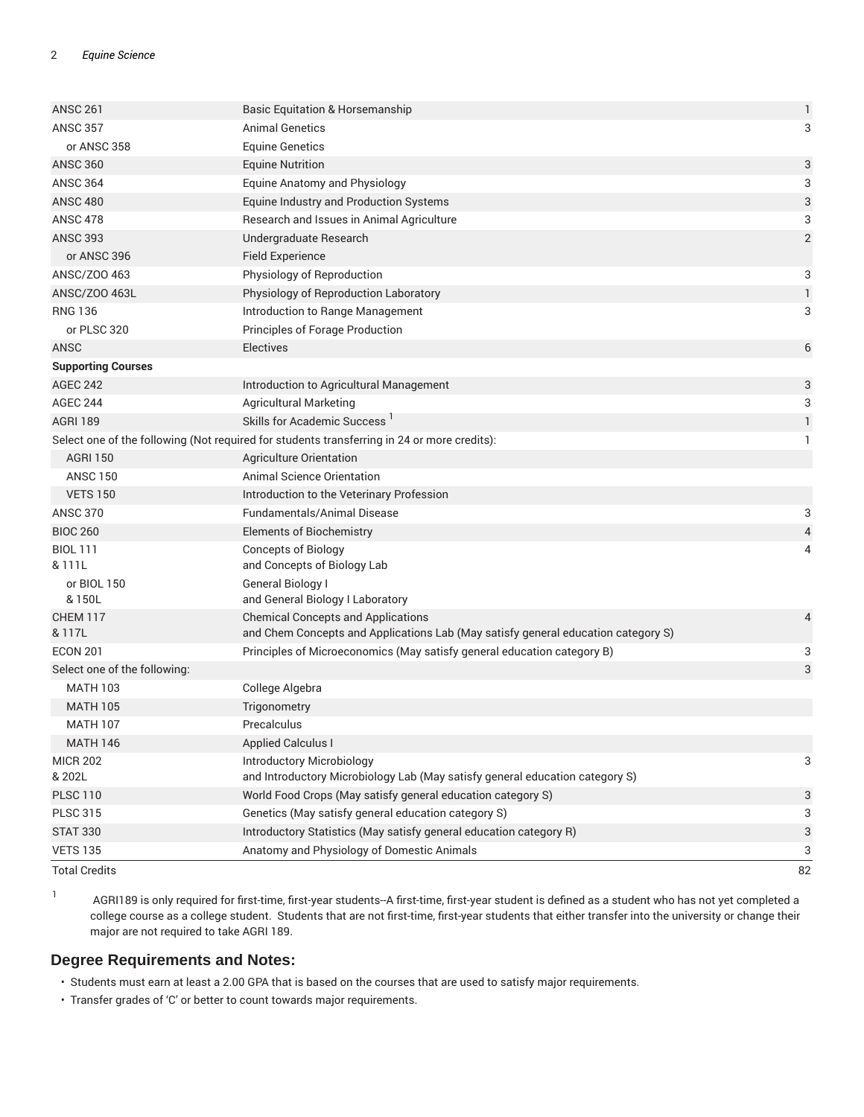| <b>Total Credits</b>                            |                                                                                             | 82            |
|-------------------------------------------------|---------------------------------------------------------------------------------------------|---------------|
| <b>VETS 135</b>                                 | Anatomy and Physiology of Domestic Animals                                                  | 3             |
| <b>STAT 330</b>                                 | Introductory Statistics (May satisfy general education category R)                          | 3             |
| <b>PLSC 315</b>                                 | Genetics (May satisfy general education category S)                                         | 3             |
| <b>PLSC 110</b>                                 | World Food Crops (May satisfy general education category S)                                 | 3             |
| & 202L                                          | and Introductory Microbiology Lab (May satisfy general education category S)                |               |
| <b>MICR 202</b>                                 | Introductory Microbiology                                                                   | 3             |
| <b>MATH 146</b>                                 | <b>Applied Calculus I</b>                                                                   |               |
| <b>MATH 107</b>                                 | Precalculus                                                                                 |               |
| <b>MATH 105</b>                                 | Trigonometry                                                                                |               |
| Select one of the following:<br><b>MATH 103</b> | College Algebra                                                                             | 3             |
| <b>ECON 201</b>                                 | Principles of Microeconomics (May satisfy general education category B)                     | 3             |
| & 117L                                          | and Chem Concepts and Applications Lab (May satisfy general education category S)           |               |
| <b>CHEM 117</b>                                 | <b>Chemical Concepts and Applications</b>                                                   | 4             |
| or BIOL 150<br>& 150L                           | General Biology I<br>and General Biology I Laboratory                                       |               |
| & 111L                                          | and Concepts of Biology Lab                                                                 |               |
| <b>BIOL 111</b>                                 | <b>Concepts of Biology</b>                                                                  | 4             |
| <b>BIOC 260</b>                                 | <b>Elements of Biochemistry</b>                                                             | 4             |
| <b>ANSC 370</b>                                 | <b>Fundamentals/Animal Disease</b>                                                          | 3             |
| <b>VETS 150</b>                                 | Introduction to the Veterinary Profession                                                   |               |
| <b>ANSC 150</b>                                 | Animal Science Orientation                                                                  |               |
| <b>AGRI 150</b>                                 | Agriculture Orientation                                                                     |               |
|                                                 | Select one of the following (Not required for students transferring in 24 or more credits): | $\mathbf{1}$  |
| <b>AGRI 189</b>                                 | Skills for Academic Success '                                                               | $\mathbf{1}$  |
| <b>AGEC 244</b>                                 | <b>Agricultural Marketing</b>                                                               | 3             |
| <b>AGEC 242</b>                                 | Introduction to Agricultural Management                                                     | 3             |
| <b>Supporting Courses</b>                       |                                                                                             |               |
| <b>ANSC</b>                                     | <b>Electives</b>                                                                            | 6             |
| or PLSC 320                                     | Principles of Forage Production                                                             |               |
| <b>RNG 136</b>                                  | Introduction to Range Management                                                            | 3             |
| ANSC/Z00 463L                                   | Physiology of Reproduction Laboratory                                                       | $\mathbf{1}$  |
| ANSC/Z00 463                                    | Physiology of Reproduction                                                                  | 3             |
| or ANSC 396                                     | <b>Field Experience</b>                                                                     |               |
| <b>ANSC 393</b>                                 | Undergraduate Research                                                                      | $\sqrt{2}$    |
| <b>ANSC 478</b>                                 | Research and Issues in Animal Agriculture                                                   | 3             |
| <b>ANSC 480</b>                                 | Equine Industry and Production Systems                                                      | 3             |
| <b>ANSC 364</b>                                 | <b>Equine Anatomy and Physiology</b>                                                        | 3             |
| <b>ANSC 360</b>                                 | <b>Equine Nutrition</b>                                                                     | 3             |
| or ANSC 358                                     | <b>Equine Genetics</b>                                                                      | 3             |
| <b>ANSC 261</b><br><b>ANSC 357</b>              | <b>Basic Equitation &amp; Horsemanship</b><br>Animal Genetics                               | $\mathbbm{1}$ |
|                                                 |                                                                                             |               |

1

AGRI189 is only required for first-time, first-year students--A first-time, first-year student is defined as a student who has not yet completed a college course as a college student. Students that are not first-time, first-year students that either transfer into the university or change their major are not required to take AGRI 189.

#### **Degree Requirements and Notes:**

- Students must earn at least a 2.00 GPA that is based on the courses that are used to satisfy major requirements.
- Transfer grades of 'C' or better to count towards major requirements.